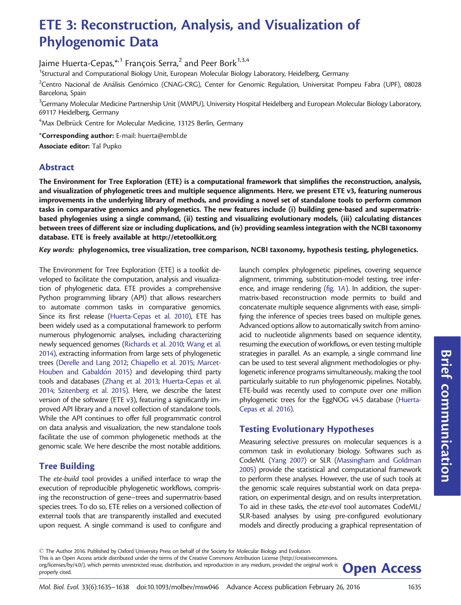# ETE 3: Reconstruction, Analysis, and Visualization of Phylogenomic Data

Jaime Huerta-Cepas,  $*1$  François Serra,<sup>2</sup> and Peer Bork<sup>1,3,4</sup>

<sup>1</sup>Structural and Computational Biology Unit, European Molecular Biology Laboratory, Heidelberg, Germany

 $^2$ Centro Nacional de Análisis Genómico (CNAG-CRG), Center for Genomic Regulation, Universitat Pompeu Fabra (UPF), 08028 Barcelona, Spain

 $^3$ Germany Molecular Medicine Partnership Unit (MMPU), University Hospital Heidelberg and European Molecular Biology Laboratory, 69117 Heidelberg, Germany

 $\mathrm{^4Max}$  Delbrück Centre for Molecular Medicine, 13125 Berlin, Germany

\*Corresponding author: E-mail: huerta@embl.de

Associate editor: Tal Pupko

## Abstract

The Environment for Tree Exploration (ETE) is a computational framework that simplifies the reconstruction, analysis, and visualization of phylogenetic trees and multiple sequence alignments. Here, we present ETE v3, featuring numerous improvements in the underlying library of methods, and providing a novel set of standalone tools to perform common tasks in comparative genomics and phylogenetics. The new features include (i) building gene-based and supermatrixbased phylogenies using a single command, (ii) testing and visualizing evolutionary models, (iii) calculating distances between trees of different size or including duplications, and (iv) providing seamless integration with the NCBI taxonomy database. ETE is freely available at<http://etetoolkit.org>

Key words: phylogenomics, tree visualization, tree comparison, NCBI taxonomy, hypothesis testing, phylogenetics.

The Environment for Tree Exploration (ETE) is a toolkit developed to facilitate the computation, analysis and visualization of phylogenetic data. ETE provides a comprehensive Python programming library (API) that allows researchers to automate common tasks in comparative genomics. Since its first release [\(Huerta-Cepas et al. 2010\)](#page-2-0), ETE has been widely used as a computational framework to perform numerous phylogenomic analyses, including characterizing newly sequenced genomes [\(Richards et al. 2010;](#page-2-0) [Wang et al.](#page-3-0) [2014\)](#page-3-0), extracting information from large sets of phylogenetic trees ([Derelle and Lang 2012](#page-2-0); [Chiapello et al. 2015;](#page-2-0) [Marcet-](#page-2-0)[Houben and Gabald](#page-2-0)ó[n 2015](#page-2-0)) and developing third party tools and databases [\(Zhang et al. 2013;](#page-3-0) [Huerta-Cepas et al.](#page-2-0) [2014;](#page-2-0) [Szitenberg et al. 2015](#page-2-0)). Here, we describe the latest version of the software (ETE v3), featuring a significantly improved API library and a novel collection of standalone tools. While the API continues to offer full programmatic control on data analysis and visualization, the new standalone tools facilitate the use of common phylogenetic methods at the genomic scale. We here describe the most notable additions.

## Tree Building

The ete-build tool provides a unified interface to wrap the execution of reproducible phylogenetic workflows, comprising the reconstruction of gene–trees and supermatrix-based species trees. To do so, ETE relies on a versioned collection of external tools that are transparently installed and executed upon request. A single command is used to configure and

launch complex phylogenetic pipelines, covering sequence alignment, trimming, substitution-model testing, tree inference, and image rendering [\(fig. 1](#page-1-0)A). In addition, the supermatrix-based reconstruction mode permits to build and concatenate multiple sequence alignments with ease, simplifying the inference of species trees based on multiple genes. Advanced options allow to automatically switch from aminoacid to nucleotide alignments based on sequence identity, resuming the execution of workflows, or even testing multiple strategies in parallel. As an example, a single command line can be used to test several alignment methodologies or phylogenetic inference programs simultaneously, making the tool particularly suitable to run phylogenomic pipelines. Notably, ETE-build was recently used to compute over one million phylogenetic trees for the EggNOG v4.5 database ([Huerta-](#page-2-0)[Cepas et al. 2016](#page-2-0)).

## Testing Evolutionary Hypotheses

Measuring selective pressures on molecular sequences is a common task in evolutionary biology. Softwares such as CodeML [\(Yang 2007\)](#page-3-0) or SLR [\(Massingham and Goldman](#page-2-0) [2005\)](#page-2-0) provide the statistical and computational framework to perform these analyses. However, the use of such tools at the genomic scale requires substantial work on data preparation, on experimental design, and on results interpretation. To aid in these tasks, the ete-evol tool automates CodeML/ SLR-based analyses by using pre-configured evolutionary models and directly producing a graphical representation of

 $\odot$  The Author 2016. Published by Oxford University Press on behalf of the Society for Molecular Biology and Evolution. This is an Open Access article distributed under the terms of the Creative Commons Attribution License (http://creativecommons. org/licenses/by/4.0/), which permits unrestricted reuse, distribution, and reproduction in any medium, provided the original work is **Open Access**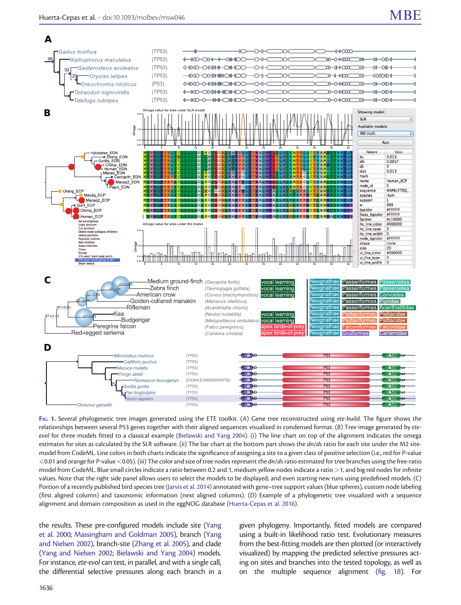<span id="page-1-0"></span>

FIG. 1. Several phylogenetic tree images generated using the ETE toolkit. (A) Gene tree reconstructed using ete-build. The figure shows the relationships between several P53 genes together with their aligned sequences visualized in condensed format.  $(B)$  Tree image generated by ete-evol for three models fitted to a classical example [\(Bielawski and Yang 2004\)](#page-2-0). (i) The line chart on top of the alignment indicates the omega estimates for sites as calculated by the SLR software. (ii) The bar chart at the bottom part shows the dn/ds ratio for each site under the M2 sitemodel from CodeML. Line colors in both charts indicate the significance of assigning a site to a given class of positive selection (i.e., red for P-value <0.01 and orange for P-value <0.05). (iii) The color and size of tree nodes represent the dn/ds ratio estimated for tree branches using the free-ratio model from CodeML. Blue small circles indicate a ratio between 0.2 and 1, medium yellow nodes indicate a ratio >1, and big red nodes for infinite values. Note that the right side panel allows users to select the models to be displayed, and even starting new runs using predefined models. (C) Portion of a recently published bird species tree [\(Jarvis et al. 2014\)](#page-2-0) annotated with gene–tree support values (blue spheres), custom node labeling (first aligned column) and taxonomic information (next aligned columns). (D) Example of a phylogenetic tree visualized with a sequence alignment and domain composition as used in the eggNOG database [\(Huerta-Cepas et al. 2016\)](#page-2-0).

the results. These pre-configured models include site [\(Yang](#page-3-0) [et al. 2000](#page-3-0); [Massingham and Goldman 2005](#page-2-0)), branch [\(Yang](#page-3-0) [and Nielsen 2002](#page-3-0)), branch-site [\(Zhang et al. 2005\)](#page-3-0), and clade ([Yang and Nielsen 2002](#page-3-0); [Bielawski and Yang 2004](#page-2-0)) models. For instance, ete-evol can test, in parallel, and with a single call, the differential selective pressures along each branch in a

given phylogeny. Importantly, fitted models are compared using a built-in likelihood ratio test. Evolutionary measures from the best-fitting models are then plotted (or interactively visualized) by mapping the predicted selective pressures acting on sites and branches into the tested topology, as well as on the multiple sequence alignment (fig. 1B). For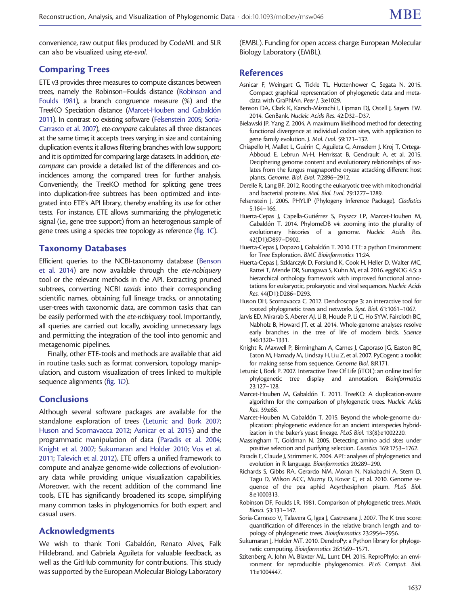<span id="page-2-0"></span>convenience, raw output files produced by CodeML and SLR can also be visualized using ete-evol.

#### Comparing Trees

ETE v3 provides three measures to compute distances between trees, namely the Robinson–Foulds distance (Robinson and Foulds 1981), a branch congruence measure (%) and the TreeKO Speciation distance (Marcet-Houben and Gabaldón 2011). In contrast to existing software (Felsenstein 2005; Soria-Carrasco et al. 2007), ete-compare calculates all three distances at the same time; it accepts trees varying in size and containing duplication events; it allows filtering branches with low support; and it is optimized for comparing large datasets. In addition, etecompare can provide a detailed list of the differences and coincidences among the compared trees for further analysis. Conveniently, the TreeKO method for splitting gene trees into duplication-free subtrees has been optimized and integrated into ETE's API library, thereby enabling its use for other tests. For instance, ETE allows summarizing the phylogenetic signal (i.e., gene tree support) from an heterogenous sample of gene trees using a species tree topology as reference [\(fig. 1](#page-1-0)C).

#### Taxonomy Databases

Efficient queries to the NCBI-taxonomy database (Benson et al. 2014) are now available through the ete-ncbiquery tool or the relevant methods in the API. Extracting pruned subtrees, converting NCBI taxids into their corresponding scientific names, obtaining full lineage tracks, or annotating user-trees with taxonomic data, are common tasks that can be easily performed with the ete-ncbiquery tool. Importantly, all queries are carried out locally, avoiding unnecessary lags and permitting the integration of the tool into genomic and metagenomic pipelines.

Finally, other ETE-tools and methods are available that aid in routine tasks such as format conversion, topology manipulation, and custom visualization of trees linked to multiple sequence alignments [\(fig. 1](#page-1-0)D).

## **Conclusions**

Although several software packages are available for the standalone exploration of trees (Letunic and Bork 2007; Huson and Scornavacca 2012; Asnicar et al. 2015) and the programmatic manipulation of data (Paradis et al. 2004; Knight et al. 2007; Sukumaran and Holder 2010; [Vos et al.](#page-3-0) [2011;](#page-3-0) [Talevich et al. 2012\)](#page-3-0), ETE offers a unified framework to compute and analyze genome-wide collections of evolutionary data while providing unique visualization capabilities. Moreover, with the recent addition of the command line tools, ETE has significantly broadened its scope, simplifying many common tasks in phylogenomics for both expert and casual users.

#### Acknowledgments

We wish to thank Toni Gabaldón, Renato Alves, Falk Hildebrand, and Gabriela Aguileta for valuable feedback, as well as the GitHub community for contributions. This study was supported by the European Molecular Biology Laboratory

(EMBL). Funding for open access charge: European Molecular Biology Laboratory (EMBL).

#### References

- Asnicar F, Weingart G, Tickle TL, Huttenhower C, Segata N. 2015. Compact graphical representation of phylogenetic data and metadata with GraPhlAn. Peer J. 3:e1029.
- Benson DA, Clark K, Karsch-Mizrachi I, Lipman DJ, Ostell J, Sayers EW. 2014. GenBank. Nucleic Acids Res. 42:D32–D37.
- Bielawski JP, Yang Z. 2004. A maximum likelihood method for detecting functional divergence at individual codon sites, with application to gene family evolution. J. Mol. Evol. 59:121–132.
- Chiapello H, Mallet L, Guérin C, Aguileta G, Amselem J, Kroj T, Ortega-Abboud E, Lebrun M-H, Henrissat B, Gendrault A, et al. 2015. Deciphering genome content and evolutionary relationships of isolates from the fungus magnaporthe oryzae attacking different host plants. Genome. Biol. Evol. 7:2896–2912.
- Derelle R, Lang BF. 2012. Rooting the eukaryotic tree with mitochondrial and bacterial proteins. Mol. Biol. Evol. 29:1277–1289.
- Felsenstein J. 2005. PHYLIP (Phylogeny Inference Package). Cladistics 5:164–166.
- Huerta-Cepas J, Capella-Gutiérrez S, Pryszcz LP, Marcet-Houben M, Gabaldón T. 2014. PhylomeDB v4: zooming into the plurality of evolutionary histories of a genome. Nucleic Acids Res. 42(D1):D897–D902.
- Huerta-Cepas J, Dopazo J, Gabaldón T. 2010. ETE: a python Environment for Tree Exploration. BMC Bioinformatics 11:24.
- Huerta-Cepas J, Szklarczyk D, Forslund K, Cook H, Heller D, Walter MC, Rattei T, Mende DR, Sunagawa S, Kuhn M, et al. 2016. eggNOG 4.5: a hierarchical orthology framework with improved functional annotations for eukaryotic, prokaryotic and viral sequences. Nucleic Acids Res. 44(D1):D286–D293.
- Huson DH, Scornavacca C. 2012. Dendroscope 3: an interactive tool for rooted phylogenetic trees and networks. Syst. Biol. 61:1061–1067.
- Jarvis ED, Mirarab S, Aberer AJ, Li B, Houde P, Li C, Ho SYW, Faircloth BC, Nabholz B, Howard JT, et al. 2014. Whole-genome analyses resolve early branches in the tree of life of modern birds. Science 346:1320–1331.
- Knight R, Maxwell P, Birmingham A, Carnes J, Caporaso JG, Easton BC, Eaton M, Hamady M, Lindsay H, Liu Z, et al. 2007. PyCogent: a toolkit for making sense from sequence. Genome Biol. 8:R171.
- Letunic I, Bork P. 2007. Interactive Tree Of Life (iTOL): an online tool for phylogenetic tree display and annotation. Bioinformatics 23:127–128.
- Marcet-Houben M, Gabaldón T. 2011. TreeKO: A duplication-aware algorithm for the comparison of phylogenetic trees. Nucleic Acids Res. 39:e66.
- Marcet-Houben M, Gabaldón T. 2015. Beyond the whole-genome duplication: phylogenetic evidence for an ancient interspecies hybridization in the baker's yeast lineage. PLoS Biol. 13(8):e1002220.
- Massingham T, Goldman N. 2005. Detecting amino acid sites under positive selection and purifying selection. Genetics 169:1753–1762.
- Paradis E, Claude J, Strimmer K. 2004. APE: analyses of phylogenetics and evolution in R language. Bioinformatics 20:289–290.
- Richards S, Gibbs RA, Gerardo NM, Moran N, Nakabachi A, Stern D, Tagu D, Wilson ACC, Muzny D, Kovar C, et al. 2010. Genome sequence of the pea aphid Acyrthosiphon pisum. PLoS Biol. 8:e1000313.
- Robinson DF, Foulds LR. 1981. Comparison of phylogenetic trees. Math. Biosci. 53:131–147.
- Soria-Carrasco V, Talavera G, Igea J, Castresana J. 2007. The K tree score: quantification of differences in the relative branch length and topology of phylogenetic trees. Bioinformatics 23:2954–2956.
- Sukumaran J, Holder MT. 2010. DendroPy: a Python library for phylogenetic computing. Bioinformatics 26:1569–1571.
- Szitenberg A, John M, Blaxter ML, Lunt DH. 2015. ReproPhylo: an environment for reproducible phylogenomics. PLoS Comput. Biol. 11:e1004447.